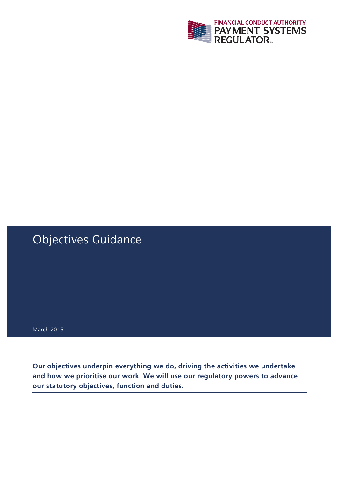

# Objectives Guidance

March 2015

**Our objectives underpin everything we do, driving the activities we undertake and how we prioritise our work. We will use our regulatory powers to advance our statutory objectives, function and duties.**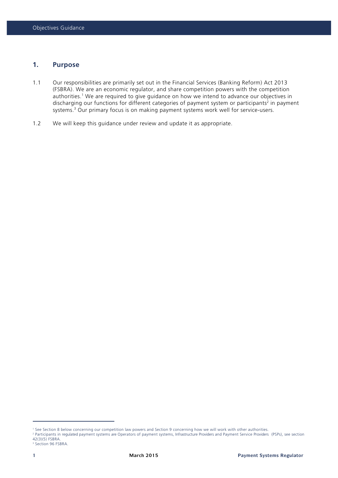#### **1. Purpose**

- 1.1 Our responsibilities are primarily set out in the Financial Services (Banking Reform) Act 2013 (FSBRA). We are an economic regulator, and share competition powers with the competition authorities.<sup>1</sup> We are required to give guidance on how we intend to advance our objectives in discharging our functions for different categories of payment system or participants<sup>2</sup> in payment systems.<sup>3</sup> Our primary focus is on making payment systems work well for service-users.
- 1.2 We will keep this guidance under review and update it as appropriate.

<sup>1</sup> See Section 8 below concerning our competition law powers and Section 9 concerning how we will work with other authorities.

<sup>2</sup> Participants in regulated payment systems are Operators of payment systems, Infrastructure Providers and Payment Service Providers (PSPs), see section 42(3)(5) FSBRA.

<sup>&</sup>lt;sup>3</sup> Section 96 FSBRA.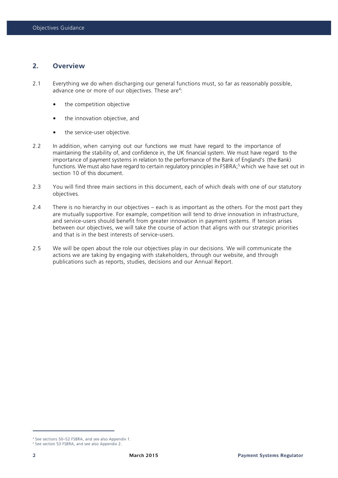# **2. Overview**

- 2.1 Everything we do when discharging our general functions must, so far as reasonably possible, advance one or more of our objectives. These are<sup>4</sup>:
	- the competition objective
	- the innovation objective, and
	- the service-user objective.
- 2.2 In addition, when carrying out our functions we must have regard to the importance of maintaining the stability of, and confidence in, the UK financial system. We must have regard to the importance of payment systems in relation to the performance of the Bank of England's (the Bank) functions. We must also have regard to certain regulatory principles in FSBRA;<sup>5</sup> which we have set out in section 10 of this document.
- 2.3 You will find three main sections in this document, each of which deals with one of our statutory objectives.
- 2.4 There is no hierarchy in our objectives each is as important as the others. For the most part they are mutually supportive. For example, competition will tend to drive innovation in infrastructure, and service-users should benefit from greater innovation in payment systems. If tension arises between our objectives, we will take the course of action that aligns with our strategic priorities and that is in the best interests of service-users.
- 2.5 We will be open about the role our objectives play in our decisions. We will communicate the actions we are taking by engaging with stakeholders, through our website, and through publications such as reports, studies, decisions and our Annual Report.

 <sup>4</sup> See sections 50–52 FSBRA, and see also Appendix 1.

<sup>5</sup> See section 53 FSBRA, and see also Appendix 2.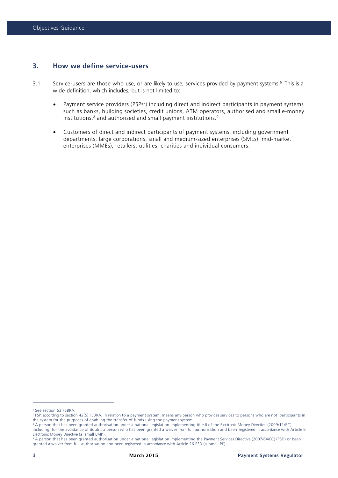# **3. How we define service-users**

- 3.1 Service-users are those who use, or are likely to use, services provided by payment systems.<sup>6</sup> This is a wide definition, which includes, but is not limited to:
	- Payment service providers (PSPs<sup>7</sup>) including direct and indirect participants in payment systems such as banks, building societies, credit unions, ATM operators, authorised and small e-money institutions,<sup>8</sup> and authorised and small payment institutions.<sup>9</sup>
	- Customers of direct and indirect participants of payment systems, including government departments, large corporations, small and medium-sized enterprises (SMEs), mid-market enterprises (MMEs), retailers, utilities, charities and individual consumers.

<sup>6</sup> See section 52 FSBRA.

<sup>7</sup> PSP, according to section 42(5) FSBRA, in relation to a payment system, means any person who provides services to persons who are not participants in the system for the purposes of enabling the transfer of funds using the payment system.

<sup>8</sup> A person that has been granted authorisation under a national legislation implementing title II of the Electronic Money Directive (2009/11/EC)

including, for the avoidance of doubt, a person who has been granted a waiver from full authorisation and been registered in accordance with Article 9 Electronic Money Directive (a 'small EMI').

<sup>9</sup> A person that has been granted authorisation under a national legislation implementing the Payment Services Directive (2007/64/EC) (PSD) or been granted a waiver from full authorisation and been registered in accordance with Article 26 PSD (a 'small PI').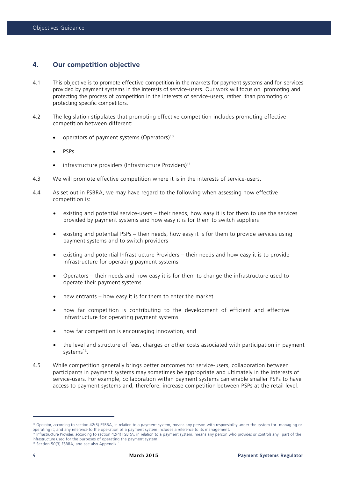# **4. Our competition objective**

- 4.1 This objective is to promote effective competition in the markets for payment systems and for services provided by payment systems in the interests of service-users. Our work will focus on promoting and protecting the process of competition in the interests of service-users, rather than promoting or protecting specific competitors.
- 4.2 The legislation stipulates that promoting effective competition includes promoting effective competition between different:
	- operators of payment systems (Operators)10
	- PSPs
	- $\bullet$  infrastructure providers (Infrastructure Providers)<sup>11</sup>
- 4.3 We will promote effective competition where it is in the interests of service-users.
- 4.4 As set out in FSBRA, we may have regard to the following when assessing how effective competition is:
	- existing and potential service-users their needs, how easy it is for them to use the services provided by payment systems and how easy it is for them to switch suppliers
	- existing and potential PSPs their needs, how easy it is for them to provide services using payment systems and to switch providers
	- existing and potential Infrastructure Providers their needs and how easy it is to provide infrastructure for operating payment systems
	- Operators their needs and how easy it is for them to change the infrastructure used to operate their payment systems
	- new entrants how easy it is for them to enter the market
	- how far competition is contributing to the development of efficient and effective infrastructure for operating payment systems
	- how far competition is encouraging innovation, and
	- the level and structure of fees, charges or other costs associated with participation in payment systems<sup>12</sup>.
- 4.5 While competition generally brings better outcomes for service-users, collaboration between participants in payment systems may sometimes be appropriate and ultimately in the interests of service-users. For example, collaboration within payment systems can enable smaller PSPs to have access to payment systems and, therefore, increase competition between PSPs at the retail level.

<sup>&</sup>lt;sup>10</sup> Operator, according to section 42(3) FSBRA, in relation to a payment system, means any person with responsibility under the system for managing or operating it; and any reference to the operation of a payment system includes a reference to its management.

<sup>11</sup> Infrastructure Provider, according to section 42(4) FSBRA, in relation to a payment system, means any person who provides or controls any part of the infrastructure used for the purposes of operating the payment system.

<sup>12</sup> Section 50(3) FSBRA, and see also Appendix 1.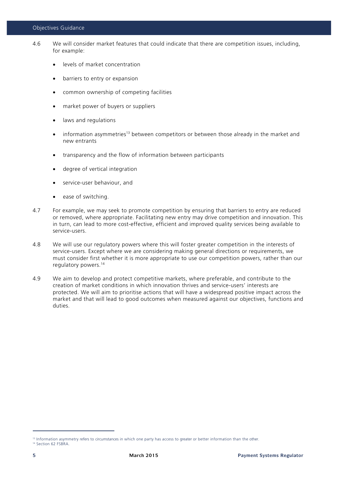#### Objectives Guidance

- 4.6 We will consider market features that could indicate that there are competition issues, including, for example:
	- levels of market concentration
	- barriers to entry or expansion
	- common ownership of competing facilities
	- market power of buyers or suppliers
	- laws and regulations
	- information asymmetries<sup>13</sup> between competitors or between those already in the market and new entrants
	- transparency and the flow of information between participants
	- degree of vertical integration
	- service-user behaviour, and
	- ease of switching.
- 4.7 For example, we may seek to promote competition by ensuring that barriers to entry are reduced or removed, where appropriate. Facilitating new entry may drive competition and innovation. This in turn, can lead to more cost-effective, efficient and improved quality services being available to service-users.
- 4.8 We will use our regulatory powers where this will foster greater competition in the interests of service-users. Except where we are considering making general directions or requirements, we must consider first whether it is more appropriate to use our competition powers, rather than our regulatory powers.14
- 4.9 We aim to develop and protect competitive markets, where preferable, and contribute to the creation of market conditions in which innovation thrives and service-users' interests are protected. We will aim to prioritise actions that will have a widespread positive impact across the market and that will lead to good outcomes when measured against our objectives, functions and duties.

<sup>&</sup>lt;sup>13</sup> Information asymmetry refers to circumstances in which one party has access to greater or better information than the other.

<sup>&</sup>lt;sup>14</sup> Section 62 FSBRA.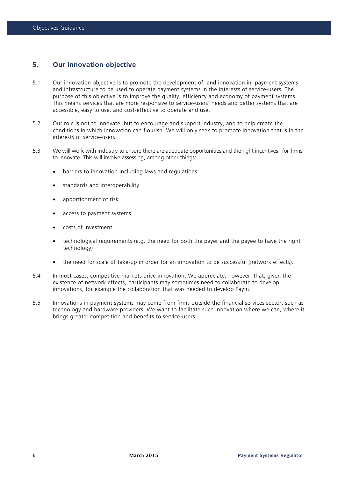# **5. Our innovation objective**

- 5.1 Our innovation objective is to promote the development of, and innovation in, payment systems and infrastructure to be used to operate payment systems in the interests of service-users. The purpose of this objective is to improve the quality, efficiency and economy of payment systems. This means services that are more responsive to service-users' needs and better systems that are accessible, easy to use, and cost-effective to operate and use.
- 5.2 Our role is not to innovate, but to encourage and support industry, and to help create the conditions in which innovation can flourish. We will only seek to promote innovation that is in the interests of service-users.
- 5.3 We will work with industry to ensure there are adequate opportunities and the right incentives for firms to innovate. This will involve assessing, among other things:
	- barriers to innovation including laws and regulations
	- standards and interoperability
	- apportionment of risk
	- access to payment systems
	- costs of investment
	- technological requirements (e.g. the need for both the payer and the payee to have the right technology)
	- the need for scale of take-up in order for an innovation to be successful (network effects).
- 5.4 In most cases, competitive markets drive innovation. We appreciate, however, that, given the existence of network effects, participants may sometimes need to collaborate to develop innovations, for example the collaboration that was needed to develop Paym.
- 5.5 Innovations in payment systems may come from firms outside the financial services sector, such as technology and hardware providers. We want to facilitate such innovation where we can, where it brings greater competition and benefits to service-users.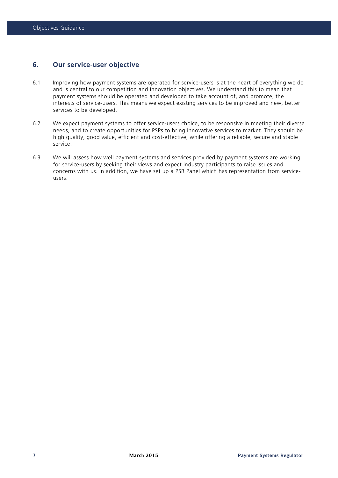## **6. Our service-user objective**

- 6.1 Improving how payment systems are operated for service-users is at the heart of everything we do and is central to our competition and innovation objectives. We understand this to mean that payment systems should be operated and developed to take account of, and promote, the interests of service-users. This means we expect existing services to be improved and new, better services to be developed.
- 6.2 We expect payment systems to offer service-users choice, to be responsive in meeting their diverse needs, and to create opportunities for PSPs to bring innovative services to market. They should be high quality, good value, efficient and cost-effective, while offering a reliable, secure and stable service.
- 6.3 We will assess how well payment systems and services provided by payment systems are working for service-users by seeking their views and expect industry participants to raise issues and concerns with us. In addition, we have set up a PSR Panel which has representation from serviceusers.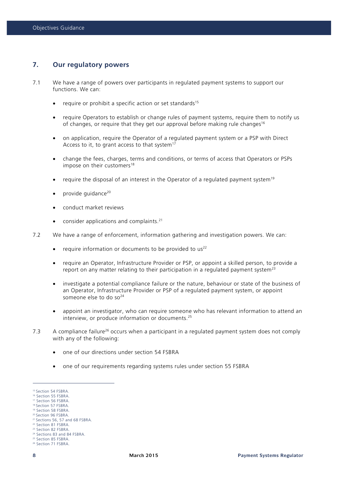#### **7. Our regulatory powers**

- 7.1 We have a range of powers over participants in regulated payment systems to support our functions. We can:
	- require or prohibit a specific action or set standards<sup>15</sup>
	- require Operators to establish or change rules of payment systems, require them to notify us of changes, or require that they get our approval before making rule changes<sup>16</sup>
	- on application, require the Operator of a regulated payment system or a PSP with Direct Access to it, to grant access to that system<sup>17</sup>
	- change the fees, charges, terms and conditions, or terms of access that Operators or PSPs impose on their customers<sup>18</sup>
	- require the disposal of an interest in the Operator of a requiated payment system<sup>19</sup>
	- provide guidance<sup>20</sup>
	- conduct market reviews
	- consider applications and complaints.<sup>21</sup>
- 7.2 We have a range of enforcement, information gathering and investigation powers. We can:
	- require information or documents to be provided to  $us^{22}$
	- require an Operator, Infrastructure Provider or PSP, or appoint a skilled person, to provide a report on any matter relating to their participation in a regulated payment system<sup>23</sup>
	- investigate a potential compliance failure or the nature, behaviour or state of the business of an Operator, Infrastructure Provider or PSP of a regulated payment system, or appoint someone else to do so $24$
	- appoint an investigator, who can require someone who has relevant information to attend an interview, or produce information or documents. 25
- 7.3 A compliance failure<sup>26</sup> occurs when a participant in a regulated payment system does not comply with any of the following:
	- one of our directions under section 54 FSBRA
	- one of our requirements regarding systems rules under section 55 FSBRA

<sup>&</sup>lt;sup>15</sup> Section 54 FSBRA.

<sup>&</sup>lt;sup>16</sup> Section 55 FSBRA. <sup>17</sup> Section 56 FSBRA.

<sup>18</sup> Section 57 FSBRA.

<sup>&</sup>lt;sup>19</sup> Section 58 FSBRA.

<sup>20</sup> Section 96 FSBRA.

<sup>21</sup> Sections 56, 57 and 68 FSBRA.

<sup>22</sup> Section 81 FSBRA.

<sup>23</sup> Section 82 FSBRA.

<sup>&</sup>lt;sup>24</sup> Sections 83 and 84 FSBRA. <sup>25</sup> Section 85 FSBRA.

<sup>&</sup>lt;sup>26</sup> Section 71 FSBRA.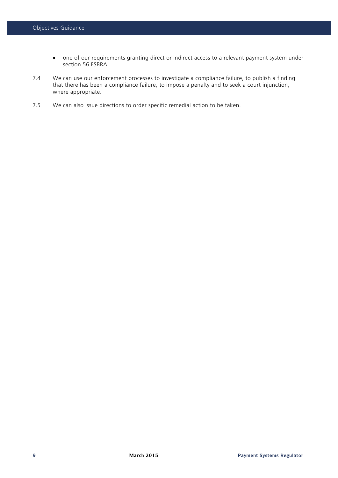- one of our requirements granting direct or indirect access to a relevant payment system under section 56 FSBRA.
- 7.4 We can use our enforcement processes to investigate a compliance failure, to publish a finding that there has been a compliance failure, to impose a penalty and to seek a court injunction, where appropriate.
- 7.5 We can also issue directions to order specific remedial action to be taken.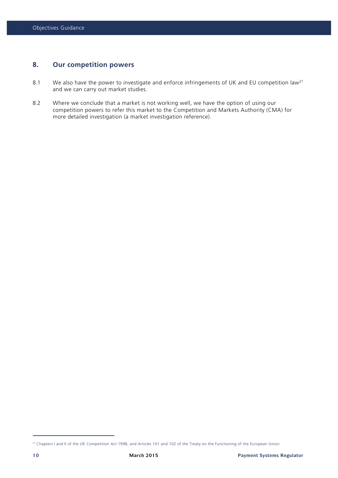# **8. Our competition powers**

- 8.1 We also have the power to investigate and enforce infringements of UK and EU competition law<sup>27</sup> and we can carry out market studies.
- 8.2 Where we conclude that a market is not working well, we have the option of using our competition powers to refer this market to the Competition and Markets Authority (CMA) for more detailed investigation (a market investigation reference).

<sup>&</sup>lt;sup>27</sup> Chapters I and II of the UK Competition Act 1998, and Articles 101 and 102 of the Treaty on the Functioning of the European Union.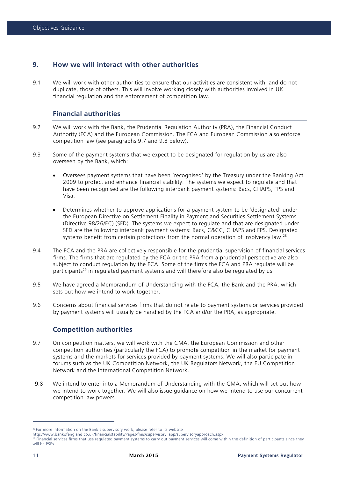# **9. How we will interact with other authorities**

9.1 We will work with other authorities to ensure that our activities are consistent with, and do not duplicate, those of others. This will involve working closely with authorities involved in UK financial regulation and the enforcement of competition law.

# **Financial authorities**

- 9.2 We will work with the Bank, the Prudential Regulation Authority (PRA), the Financial Conduct Authority (FCA) and the European Commission. The FCA and European Commission also enforce competition law (see paragraphs 9.7 and 9.8 below).
- 9.3 Some of the payment systems that we expect to be designated for regulation by us are also overseen by the Bank, which:
	- Oversees payment systems that have been 'recognised' by the Treasury under the Banking Act 2009 to protect and enhance financial stability. The systems we expect to regulate and that have been recognised are the following interbank payment systems: Bacs, CHAPS, FPS and Visa.
	- Determines whether to approve applications for a payment system to be 'designated' under the European Directive on Settlement Finality in Payment and Securities Settlement Systems (Directive 98/26/EC) (SFD). The systems we expect to regulate and that are designated under SFD are the following interbank payment systems: Bacs, C&CC, CHAPS and FPS. Designated systems benefit from certain protections from the normal operation of insolvency law.<sup>28</sup>
- 9.4 The FCA and the PRA are collectively responsible for the prudential supervision of financial services firms. The firms that are regulated by the FCA or the PRA from a prudential perspective are also subject to conduct regulation by the FCA. Some of the firms the FCA and PRA regulate will be participants<sup>29</sup> in regulated payment systems and will therefore also be regulated by us.
- 9.5 We have agreed a Memorandum of Understanding with the FCA, the Bank and the PRA, which sets out how we intend to work together.
- 9.6 Concerns about financial services firms that do not relate to payment systems or services provided by payment systems will usually be handled by the FCA and/or the PRA, as appropriate.

#### **Competition authorities**

- 9.7 On competition matters, we will work with the CMA, the European Commission and other competition authorities (particularly the FCA) to promote competition in the market for payment systems and the markets for services provided by payment systems. We will also participate in forums such as the UK Competition Network, the UK Regulators Network, the EU Competition Network and the International Competition Network.
- 9.8 We intend to enter into a Memorandum of Understanding with the CMA, which will set out how we intend to work together. We will also issue guidance on how we intend to use our concurrent competition law powers.

<sup>&</sup>lt;sup>28</sup> For more information on the Bank's supervisory work, please refer to its website

http://www.bankofengland.co.uk/financialstability/Pages/fmis/supervisory\_app/supervisoryapproach.aspx.

<sup>&</sup>lt;sup>29</sup> Financial services firms that use regulated payment systems to carry out payment services will come within the definition of participants since they will be PSPs.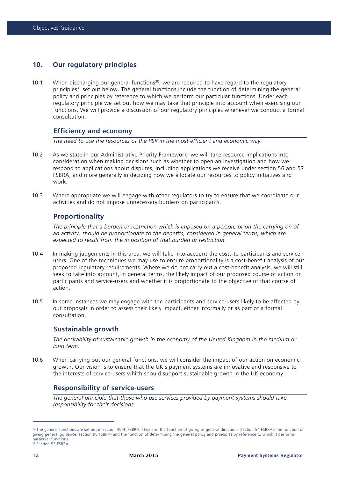# **10. Our regulatory principles**

10.1 When discharging our general functions<sup>30</sup>, we are required to have regard to the regulatory principles<sup>31</sup> set out below. The general functions include the function of determining the general policy and principles by reference to which we perform our particular functions. Under each regulatory principle we set out how we may take that principle into account when exercising our functions. We will provide a discussion of our regulatory principles whenever we conduct a formal consultation.

#### **Efficiency and economy**

*The need to use the resources of the PSR in the most efficient and economic way.*

- 10.2 As we state in our Administrative Priority Framework, we will take resource implications into consideration when making decisions such as whether to open an investigation and how we respond to applications about disputes, including applications we receive under section 56 and 57 FSBRA, and more generally in deciding how we allocate our resources to policy initiatives and work.
- 10.3 Where appropriate we will engage with other regulators to try to ensure that we coordinate our activities and do not impose unnecessary burdens on participants.

#### **Proportionality**

*The principle that a burden or restriction which is imposed on a person, or on the carrying on of an activity, should be proportionate to the benefits, considered in general terms, which are expected to result from the imposition of that burden or restriction.*

- 10.4 In making judgements in this area, we will take into account the costs to participants and serviceusers. One of the techniques we may use to ensure proportionality is a cost-benefit analysis of our proposed regulatory requirements. Where we do not carry out a cost-benefit analysis, we will still seek to take into account, in general terms, the likely impact of our proposed course of action on participants and service-users and whether it is proportionate to the objective of that course of action.
- 10.5 In some instances we may engage with the participants and service-users likely to be affected by our proposals in order to assess their likely impact, either informally or as part of a formal consultation.

#### **Sustainable growth**

*The desirability of sustainable growth in the economy of the United Kingdom in the medium or long term.*

10.6 When carrying out our general functions, we will consider the impact of our action on economic growth. Our vision is to ensure that the UK's payment systems are innovative and responsive to the interests of service-users which should support sustainable growth in the UK economy.

# **Responsibility of service-users**

*The general principle that those who use services provided by payment systems should take responsibility for their decisions.* 

<sup>30</sup> The general functions are set out in section 49(4) FSBRA. They are: the function of giving of general directions (section 54 FSBRA), the function of giving general guidance (section 96 FSBRA) and the function of determining the general policy and principles by reference to which it performs particular functions. 31 Section 53 FSBRA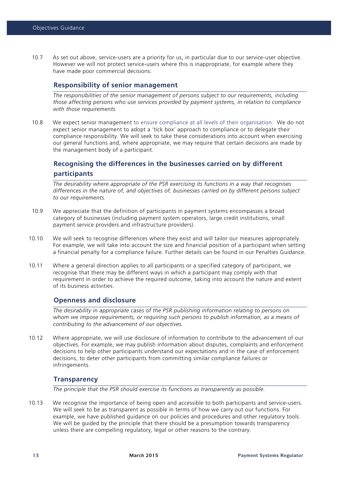10.7 As set out above, service-users are a priority for us, in particular due to our service-user objective. However we will not protect service-users where this is inappropriate, for example where they have made poor commercial decisions.

#### **Responsibility of senior management**

*The responsibilities of the senior management of persons subject to our requirements, including those affecting persons who use services provided by payment systems, in relation to compliance with those requirements.*

10.8 We expect senior management to ensure compliance at all levels of their organisation. We do not expect senior management to adopt a 'tick box' approach to compliance or to delegate their compliance responsibility. We will seek to take these considerations into account when exercising our general functions and, where appropriate, we may require that certain decisions are made by the management body of a participant.

# **Recognising the differences in the businesses carried on by different participants**

*The desirability where appropriate of the PSR exercising its functions in a way that recognises differences in the nature of, and objectives of, businesses carried on by different persons subject to our requirements.*

- 10.9 We appreciate that the definition of participants in payment systems encompasses a broad category of businesses (including payment system operators, large credit institutions, small payment service providers and infrastructure providers).
- 10.10 We will seek to recognise differences where they exist and will tailor our measures appropriately. For example, we will take into account the size and financial position of a participant when setting a financial penalty for a compliance failure. Further details can be found in our Penalties Guidance.
- 10.11 Where a general direction applies to all participants or a specified category of participant, we recognise that there may be different ways in which a participant may comply with that requirement in order to achieve the required outcome, taking into account the nature and extent of its business activities.

#### **Openness and disclosure**

*The desirability in appropriate cases of the PSR publishing information relating to persons on whom we impose requirements, or requiring such persons to publish information, as a means of contributing to the advancement of our objectives.*

10.12 Where appropriate, we will use disclosure of information to contribute to the advancement of our objectives. For example, we may publish information about disputes, complaints and enforcement decisions to help other participants understand our expectations and in the case of enforcement decisions, to deter other participants from committing similar compliance failures or infringements.

# **Transparency**

*The principle that the PSR should exercise its functions as transparently as possible.*

10.13 We recognise the importance of being open and accessible to both participants and service-users. We will seek to be as transparent as possible in terms of how we carry out our functions. For example, we have published guidance on our policies and procedures and other regulatory tools. We will be guided by the principle that there should be a presumption towards transparency unless there are compelling regulatory, legal or other reasons to the contrary.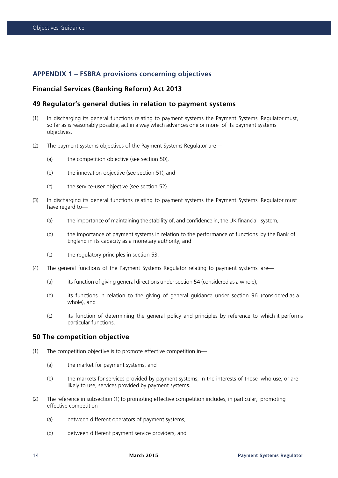# **APPENDIX 1 – FSBRA provisions concerning objectives**

## **Financial Services (Banking Reform) Act 2013**

#### **49 Regulator's general duties in relation to payment systems**

- (1) In discharging its general functions relating to payment systems the Payment Systems Regulator must, so far as is reasonably possible, act in a way which advances one or more of its payment systems objectives.
- (2) The payment systems objectives of the Payment Systems Regulator are—
	- (a) the competition objective (see section 50),
	- (b) the innovation objective (see section 51), and
	- (c) the service-user objective (see section 52).
- (3) In discharging its general functions relating to payment systems the Payment Systems Regulator must have regard to—
	- (a) the importance of maintaining the stability of, and confidence in, the UK financial system,
	- (b) the importance of payment systems in relation to the performance of functions by the Bank of England in its capacity as a monetary authority, and
	- (c) the regulatory principles in section 53.
- (4) The general functions of the Payment Systems Regulator relating to payment systems are—
	- (a) its function of giving general directions under section 54 (considered as a whole),
	- (b) its functions in relation to the giving of general guidance under section 96 (considered as a whole), and
	- (c) its function of determining the general policy and principles by reference to which it performs particular functions.

#### **50 The competition objective**

- (1) The competition objective is to promote effective competition in—
	- (a) the market for payment systems, and
	- (b) the markets for services provided by payment systems, in the interests of those who use, or are likely to use, services provided by payment systems.
- (2) The reference in subsection (1) to promoting effective competition includes, in particular, promoting effective competition—
	- (a) between different operators of payment systems,
	- (b) between different payment service providers, and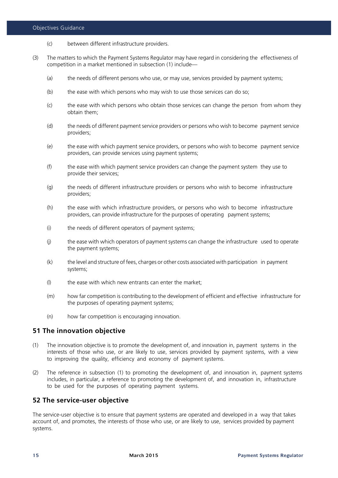- (c) between different infrastructure providers.
- (3) The matters to which the Payment Systems Regulator may have regard in considering the effectiveness of competition in a market mentioned in subsection (1) include—
	- (a) the needs of different persons who use, or may use, services provided by payment systems;
	- (b) the ease with which persons who may wish to use those services can do so;
	- (c) the ease with which persons who obtain those services can change the person from whom they obtain them;
	- (d) the needs of different payment service providers or persons who wish to become payment service providers;
	- (e) the ease with which payment service providers, or persons who wish to become payment service providers, can provide services using payment systems;
	- (f) the ease with which payment service providers can change the payment system they use to provide their services;
	- (g) the needs of different infrastructure providers or persons who wish to become infrastructure providers;
	- (h) the ease with which infrastructure providers, or persons who wish to become infrastructure providers, can provide infrastructure for the purposes of operating payment systems;
	- (i) the needs of different operators of payment systems;
	- (j) the ease with which operators of payment systems can change the infrastructure used to operate the payment systems;
	- (k) the level and structure of fees, charges or other costs associated with participation in payment systems;
	- (I) the ease with which new entrants can enter the market:
	- (m) how far competition is contributing to the development of efficient and effective infrastructure for the purposes of operating payment systems;
	- (n) how far competition is encouraging innovation.

#### **51 The innovation objective**

- (1) The innovation objective is to promote the development of, and innovation in, payment systems in the interests of those who use, or are likely to use, services provided by payment systems, with a view to improving the quality, efficiency and economy of payment systems.
- (2) The reference in subsection (1) to promoting the development of, and innovation in, payment systems includes, in particular, a reference to promoting the development of, and innovation in, infrastructure to be used for the purposes of operating payment systems.

# **52 The service-user objective**

The service-user objective is to ensure that payment systems are operated and developed in a way that takes account of, and promotes, the interests of those who use, or are likely to use, services provided by payment systems.